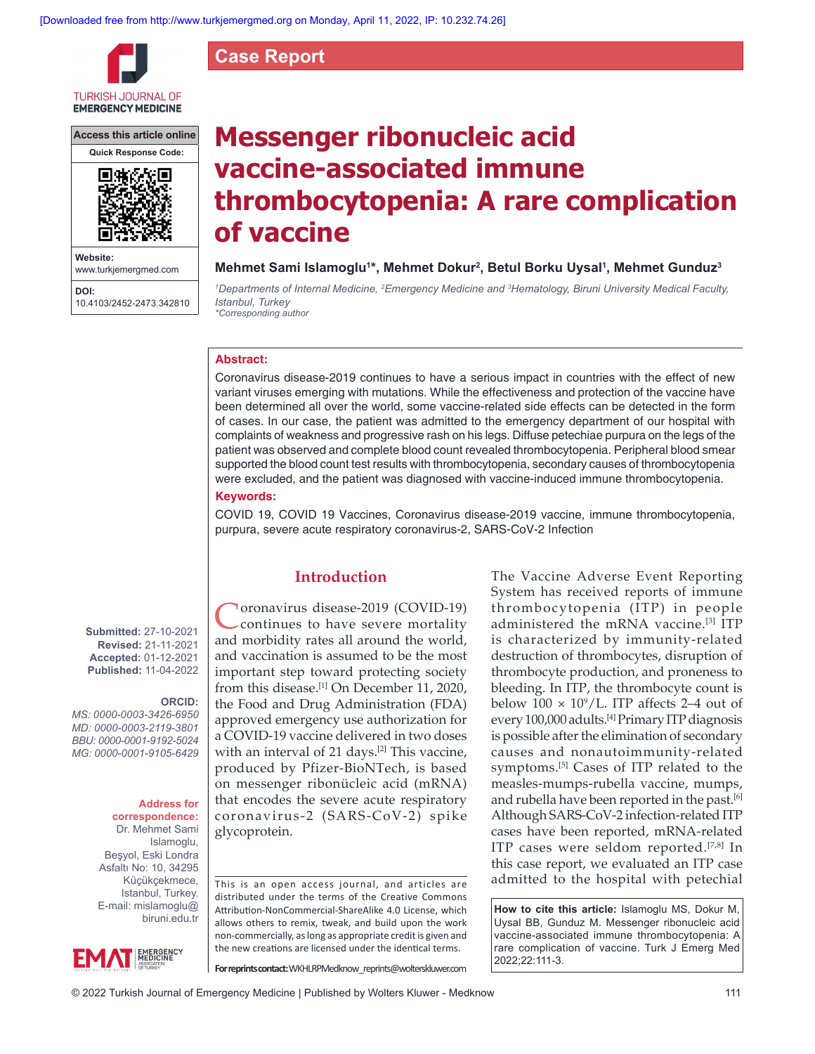**Case Report**



**Access this article online**



**Website:** www.turkjemergmed.com **DOI:**

10.4103/2452-2473.342810

# **Messenger ribonucleic acid vaccine‑associated immune thrombocytopenia: A rare complication of vaccine**

## **Mehmet Sami Islamoglu1 \*, Mehmet Dokur2 , Betul Borku Uysal1 , Mehmet Gunduz3**

<sup>1</sup>Departments of Internal Medicine, <sup>2</sup>Emergency Medicine and <sup>3</sup>Hematology, Biruni University Medical Faculty, *Istanbul, Turkey \*Corresponding author*

## **Abstract:**

Coronavirus disease‑2019 continues to have a serious impact in countries with the effect of new variant viruses emerging with mutations. While the effectiveness and protection of the vaccine have been determined all over the world, some vaccine-related side effects can be detected in the form of cases. In our case, the patient was admitted to the emergency department of our hospital with complaints of weakness and progressive rash on his legs. Diffuse petechiae purpura on the legs of the patient was observed and complete blood count revealed thrombocytopenia. Peripheral blood smear supported the blood count test results with thrombocytopenia, secondary causes of thrombocytopenia were excluded, and the patient was diagnosed with vaccine-induced immune thrombocytopenia.

## **Keywords:**

COVID 19, COVID 19 Vaccines, Coronavirus disease-2019 vaccine, immune thrombocytopenia, purpura, severe acute respiratory coronavirus‑2, SARS-CoV-2 Infection

**Submitted:** 27-10-2021 **Revised:** 21-11-2021 **Accepted:** 01-12-2021 **Published:** 11-04-2022

## **ORCID:**

*MS: 0000‑0003‑3426‑6950 MD: 0000‑0003‑2119‑3801 BBU: 0000‑0001‑9192‑5024 MG: 0000‑0001‑9105‑6429*

#### **Address for correspondence:**

Dr. Mehmet Sami Islamoglu, Beşyol, Eski Londra Asfaltı No: 10, 34295 Küçükçekmece, Istanbul, Turkey. E-mail: mislamoglu@ biruni.edu.tr



**Toronavirus disease-2019 (COVID-19)** continues to have severe mortality and morbidity rates all around the world, and vaccination is assumed to be the most important step toward protecting society from this disease.<sup>[1]</sup> On December 11, 2020, the Food and Drug Administration (FDA) approved emergency use authorization for a COVID‑19 vaccine delivered in two doses with an interval of 21 days.<sup>[2]</sup> This vaccine, produced by Pfizer‑BioNTech, is based on messenger ribonücleic acid (mRNA) that encodes the severe acute respiratory coronavirus‑2 (SARS‑CoV‑2) spike glycoprotein.

**Introduction**

This is an open access journal, and articles are distributed under the terms of the Creative Commons Attribution‑NonCommercial‑ShareAlike 4.0 License, which allows others to remix, tweak, and build upon the work non‑commercially, as long as appropriate credit is given and the new creations are licensed under the identical terms.

**For reprints contact:** WKHLRPMedknow\_reprints@wolterskluwer.com

The Vaccine Adverse Event Reporting System has received reports of immune thrombocytopenia (ITP) in people administered the mRNA vaccine.[3] ITP is characterized by immunity-related destruction of thrombocytes, disruption of thrombocyte production, and proneness to bleeding. In ITP, the thrombocyte count is below  $100 \times 10^9$ /L. ITP affects 2–4 out of every 100,000 adults.<sup>[4]</sup> Primary ITP diagnosis is possible after the elimination of secondary causes and nonautoimmunity‑related symptoms.<sup>[5]</sup> Cases of ITP related to the measles‑mumps‑rubella vaccine, mumps, and rubella have been reported in the past.<sup>[6]</sup> Although SARS-CoV-2 infection-related ITP cases have been reported, mRNA‑related ITP cases were seldom reported.[7,8] In this case report, we evaluated an ITP case admitted to the hospital with petechial

**How to cite this article:** Islamoglu MS, Dokur M, Uysal BB, Gunduz M. Messenger ribonucleic acid vaccine-associated immune thrombocytopenia: A rare complication of vaccine. Turk J Emerg Med 2022;22:111-3.

© 2022 Turkish Journal of Emergency Medicine | Published by Wolters Kluwer - Medknow 111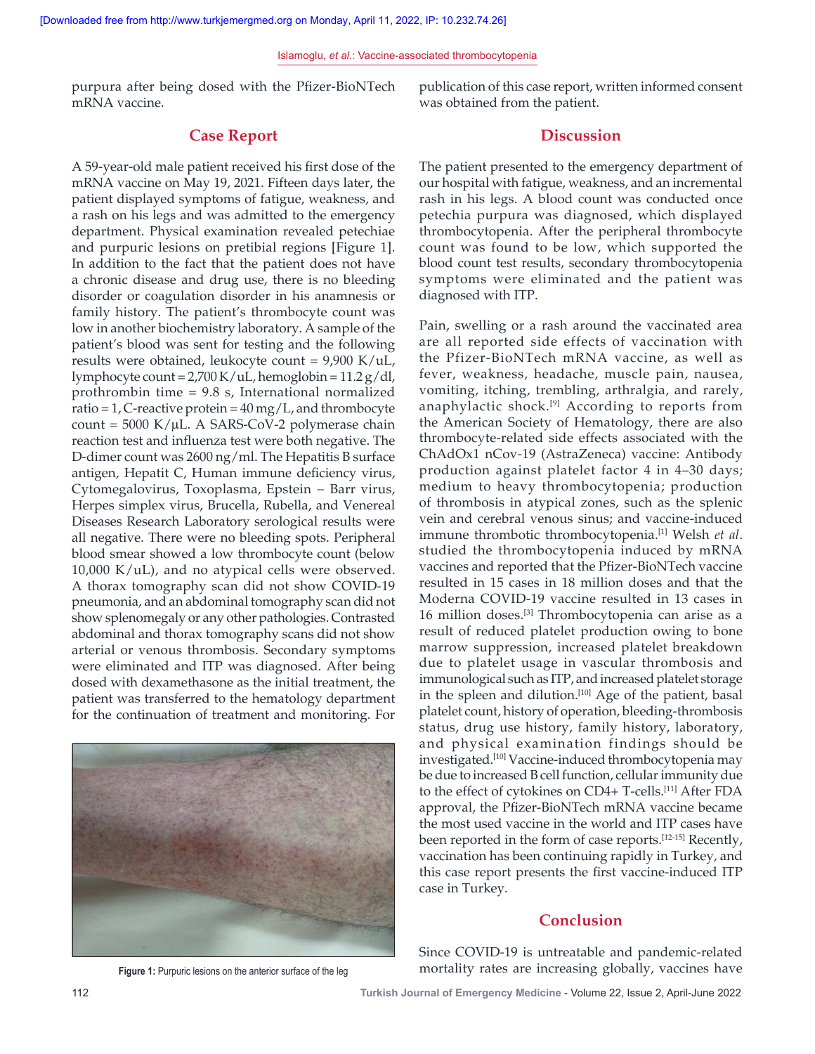#### Islamoglu, *et al*.: Vaccine‑associated thrombocytopenia

purpura after being dosed with the Pfizer-BioNTech mRNA vaccine.

## **Case Report**

A 59‑year‑old male patient received his first dose of the mRNA vaccine on May 19, 2021. Fifteen days later, the patient displayed symptoms of fatigue, weakness, and a rash on his legs and was admitted to the emergency department. Physical examination revealed petechiae and purpuric lesions on pretibial regions [Figure 1]. In addition to the fact that the patient does not have a chronic disease and drug use, there is no bleeding disorder or coagulation disorder in his anamnesis or family history. The patient's thrombocyte count was low in another biochemistry laboratory. A sample of the patient's blood was sent for testing and the following results were obtained, leukocyte count =  $9,900$  K/uL, lymphocyte count =  $2,700$  K/uL, hemoglobin =  $11.2$  g/dl, prothrombin time = 9.8 s, International normalized ratio = 1, C-reactive protein =  $40 \,\text{mg/L}$ , and thrombocyte count =  $5000$  K/ $\mu$ L. A SARS-CoV-2 polymerase chain reaction test and influenza test were both negative. The D‑dimer count was 2600 ng/ml. The Hepatitis B surface antigen, Hepatit C, Human immune deficiency virus, Cytomegalovirus, Toxoplasma, Epstein − Barr virus, Herpes simplex virus, Brucella, Rubella, and Venereal Diseases Research Laboratory serological results were all negative. There were no bleeding spots. Peripheral blood smear showed a low thrombocyte count (below 10,000 K/uL), and no atypical cells were observed. A thorax tomography scan did not show COVID‑19 pneumonia, and an abdominal tomography scan did not show splenomegaly or any other pathologies. Contrasted abdominal and thorax tomography scans did not show arterial or venous thrombosis. Secondary symptoms were eliminated and ITP was diagnosed. After being dosed with dexamethasone as the initial treatment, the patient was transferred to the hematology department for the continuation of treatment and monitoring. For



publication of this case report, written informed consent was obtained from the patient.

## **Discussion**

The patient presented to the emergency department of our hospital with fatigue, weakness, and an incremental rash in his legs. A blood count was conducted once petechia purpura was diagnosed, which displayed thrombocytopenia. After the peripheral thrombocyte count was found to be low, which supported the blood count test results, secondary thrombocytopenia symptoms were eliminated and the patient was diagnosed with ITP.

Pain, swelling or a rash around the vaccinated area are all reported side effects of vaccination with the Pfizer‑BioNTech mRNA vaccine, as well as fever, weakness, headache, muscle pain, nausea, vomiting, itching, trembling, arthralgia, and rarely, anaphylactic shock.[9] According to reports from the American Society of Hematology, there are also thrombocyte‑related side effects associated with the ChAdOx1 nCov‑19 (AstraZeneca) vaccine: Antibody production against platelet factor 4 in 4–30 days; medium to heavy thrombocytopenia; production of thrombosis in atypical zones, such as the splenic vein and cerebral venous sinus; and vaccine-induced immune thrombotic thrombocytopenia.[1] Welsh *et al*. studied the thrombocytopenia induced by mRNA vaccines and reported that the Pfizer‑BioNTech vaccine resulted in 15 cases in 18 million doses and that the Moderna COVID‑19 vaccine resulted in 13 cases in 16 million doses.[3] Thrombocytopenia can arise as a result of reduced platelet production owing to bone marrow suppression, increased platelet breakdown due to platelet usage in vascular thrombosis and immunological such as ITP, and increased platelet storage in the spleen and dilution.<sup>[10]</sup> Age of the patient, basal platelet count, history of operation, bleeding-thrombosis status, drug use history, family history, laboratory, and physical examination findings should be investigated.<sup>[10]</sup> Vaccine-induced thrombocytopenia may be due to increased B cell function, cellular immunity due to the effect of cytokines on CD4+ T-cells.<sup>[11]</sup> After FDA approval, the Pfizer‑BioNTech mRNA vaccine became the most used vaccine in the world and ITP cases have been reported in the form of case reports.<sup>[12-15]</sup> Recently, vaccination has been continuing rapidly in Turkey, and this case report presents the first vaccine‑induced ITP case in Turkey.

## **Conclusion**

**Figure 1:** Purpuric lesions on the anterior surface of the leg

Since COVID-19 is untreatable and pandemic-related mortality rates are increasing globally, vaccines have